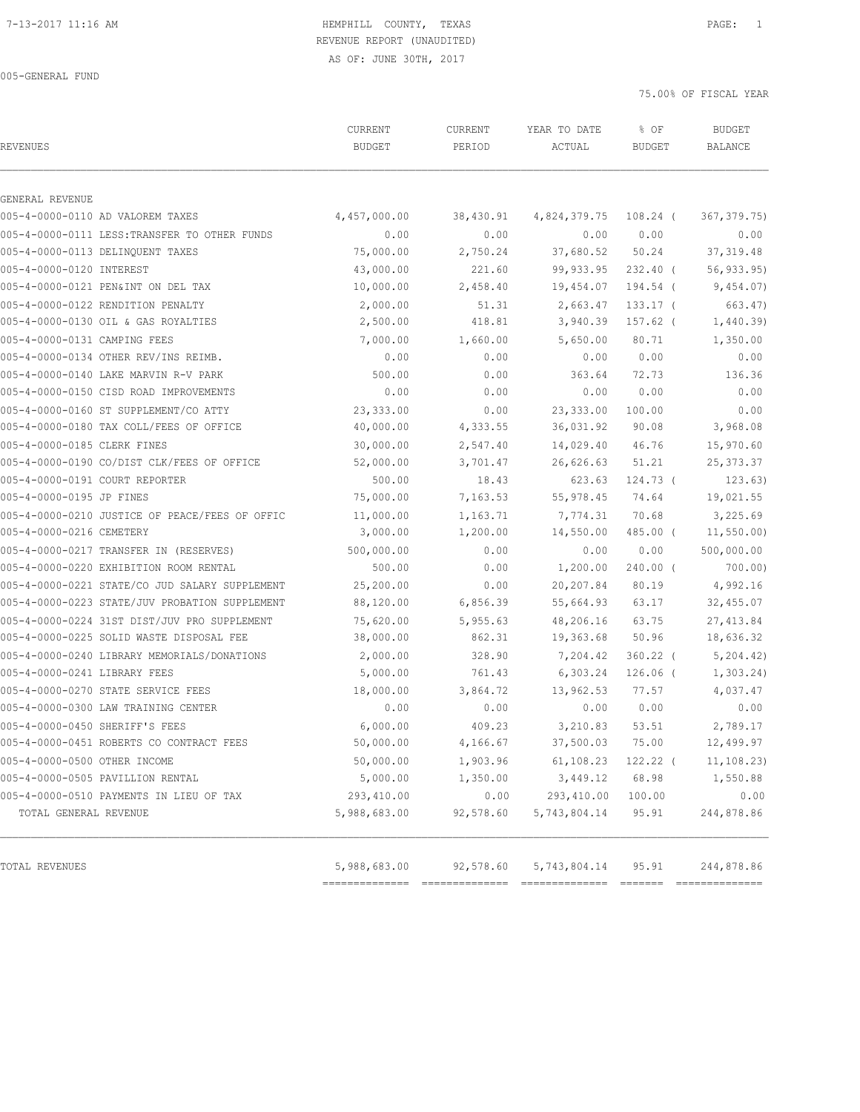# REVENUE REPORT (UNAUDITED)

| <b>REVENUES</b>                          |                                                | CURRENT<br><b>BUDGET</b> | CURRENT<br>PERIOD | YEAR TO DATE<br>ACTUAL | % OF<br><b>BUDGET</b> | <b>BUDGET</b><br>BALANCE |
|------------------------------------------|------------------------------------------------|--------------------------|-------------------|------------------------|-----------------------|--------------------------|
| GENERAL REVENUE                          |                                                |                          |                   |                        |                       |                          |
| 005-4-0000-0110 AD VALOREM TAXES         |                                                | 4,457,000.00             | 38,430.91         | 4,824,379.75 108.24 (  |                       | 367, 379.75)             |
|                                          | 005-4-0000-0111 LESS: TRANSFER TO OTHER FUNDS  | 0.00                     | 0.00              | 0.00                   | 0.00                  | 0.00                     |
| 005-4-0000-0113 DELINQUENT TAXES         |                                                | 75,000.00                | 2,750.24          | 37,680.52              | 50.24                 | 37, 319.48               |
| 005-4-0000-0120 INTEREST                 |                                                | 43,000.00                | 221.60            | 99, 933.95             | $232.40$ (            | 56, 933.95               |
| 005-4-0000-0121 PEN&INT ON DEL TAX       |                                                | 10,000.00                | 2,458.40          | 19,454.07              | 194.54 (              | 9,454.07)                |
| 005-4-0000-0122 RENDITION PENALTY        |                                                | 2,000.00                 | 51.31             | 2,663.47               | $133.17$ (            | 663.47)                  |
| 005-4-0000-0130 OIL & GAS ROYALTIES      |                                                | 2,500.00                 | 418.81            | 3,940.39               | 157.62 (              | 1,440.39                 |
| 005-4-0000-0131 CAMPING FEES             |                                                | 7,000.00                 | 1,660.00          | 5,650.00               | 80.71                 | 1,350.00                 |
| 005-4-0000-0134 OTHER REV/INS REIMB.     |                                                | 0.00                     | 0.00              | 0.00                   | 0.00                  | 0.00                     |
| 005-4-0000-0140 LAKE MARVIN R-V PARK     |                                                | 500.00                   | 0.00              | 363.64                 | 72.73                 | 136.36                   |
| 005-4-0000-0150 CISD ROAD IMPROVEMENTS   |                                                | 0.00                     | 0.00              | 0.00                   | 0.00                  | 0.00                     |
| 005-4-0000-0160 ST SUPPLEMENT/CO ATTY    |                                                | 23,333.00                | 0.00              | 23, 333.00             | 100.00                | 0.00                     |
| 005-4-0000-0180 TAX COLL/FEES OF OFFICE  |                                                | 40,000.00                | 4,333.55          | 36,031.92              | 90.08                 | 3,968.08                 |
| 005-4-0000-0185 CLERK FINES              |                                                | 30,000.00                | 2,547.40          | 14,029.40              | 46.76                 | 15,970.60                |
|                                          | 005-4-0000-0190 CO/DIST CLK/FEES OF OFFICE     | 52,000.00                | 3,701.47          | 26,626.63              | 51.21                 | 25, 373.37               |
| 005-4-0000-0191 COURT REPORTER           |                                                | 500.00                   | 18.43             | 623.63                 | 124.73 (              | 123.63)                  |
| 005-4-0000-0195 JP FINES                 |                                                | 75,000.00                | 7,163.53          | 55,978.45              | 74.64                 | 19,021.55                |
|                                          | 005-4-0000-0210 JUSTICE OF PEACE/FEES OF OFFIC | 11,000.00                | 1,163.71          | 7,774.31               | 70.68                 | 3,225.69                 |
| 005-4-0000-0216 CEMETERY                 |                                                | 3,000.00                 | 1,200.00          | 14,550.00              | 485.00 (              | 11, 550.00               |
| 005-4-0000-0217 TRANSFER IN (RESERVES)   |                                                | 500,000.00               | 0.00              | 0.00                   | 0.00                  | 500,000.00               |
| 005-4-0000-0220 EXHIBITION ROOM RENTAL   |                                                | 500.00                   | 0.00              | 1,200.00               | $240.00$ (            | 700.00)                  |
|                                          | 005-4-0000-0221 STATE/CO JUD SALARY SUPPLEMENT | 25,200.00                | 0.00              | 20,207.84              | 80.19                 | 4,992.16                 |
|                                          | 005-4-0000-0223 STATE/JUV PROBATION SUPPLEMENT | 88,120.00                | 6,856.39          | 55,664.93              | 63.17                 | 32,455.07                |
|                                          | 005-4-0000-0224 31ST DIST/JUV PRO SUPPLEMENT   | 75,620.00                | 5,955.63          | 48,206.16              | 63.75                 | 27, 413.84               |
| 005-4-0000-0225 SOLID WASTE DISPOSAL FEE |                                                | 38,000.00                | 862.31            | 19,363.68              | 50.96                 | 18,636.32                |
|                                          | 005-4-0000-0240 LIBRARY MEMORIALS/DONATIONS    | 2,000.00                 | 328.90            | 7,204.42               | $360.22$ (            | 5, 204.42)               |
| 005-4-0000-0241 LIBRARY FEES             |                                                | 5,000.00                 | 761.43            | 6,303.24               | $126.06$ (            | 1,303.24)                |
| 005-4-0000-0270 STATE SERVICE FEES       |                                                | 18,000.00                | 3,864.72          | 13,962.53              | 77.57                 | 4,037.47                 |
| 005-4-0000-0300 LAW TRAINING CENTER      |                                                | 0.00                     | 0.00              | 0.00                   | 0.00                  | 0.00                     |
| 005-4-0000-0450 SHERIFF'S FEES           |                                                | 6,000.00                 | 409.23            | 3,210.83               | 53.51                 | 2,789.17                 |
| 005-4-0000-0451 ROBERTS CO CONTRACT FEES |                                                | 50,000.00                | 4,166.67          | 37,500.03              | 75.00                 | 12,499.97                |
| 005-4-0000-0500 OTHER INCOME             |                                                | 50,000.00                | 1,903.96          | 61, 108.23             | $122.22$ (            | 11, 108.23               |
| 005-4-0000-0505 PAVILLION RENTAL         |                                                | 5,000.00                 | 1,350.00          | 3,449.12               | 68.98                 | 1,550.88                 |
| 005-4-0000-0510 PAYMENTS IN LIEU OF TAX  |                                                | 293,410.00               | 0.00              | 293,410.00             | 100.00                | 0.00                     |
| TOTAL GENERAL REVENUE                    |                                                | 5,988,683.00             | 92,578.60         | 5,743,804.14           | 95.91                 | 244,878.86               |
| TOTAL REVENUES                           |                                                | 5,988,683.00             | 92,578.60         | 5,743,804.14           | 95.91                 | 244,878.86               |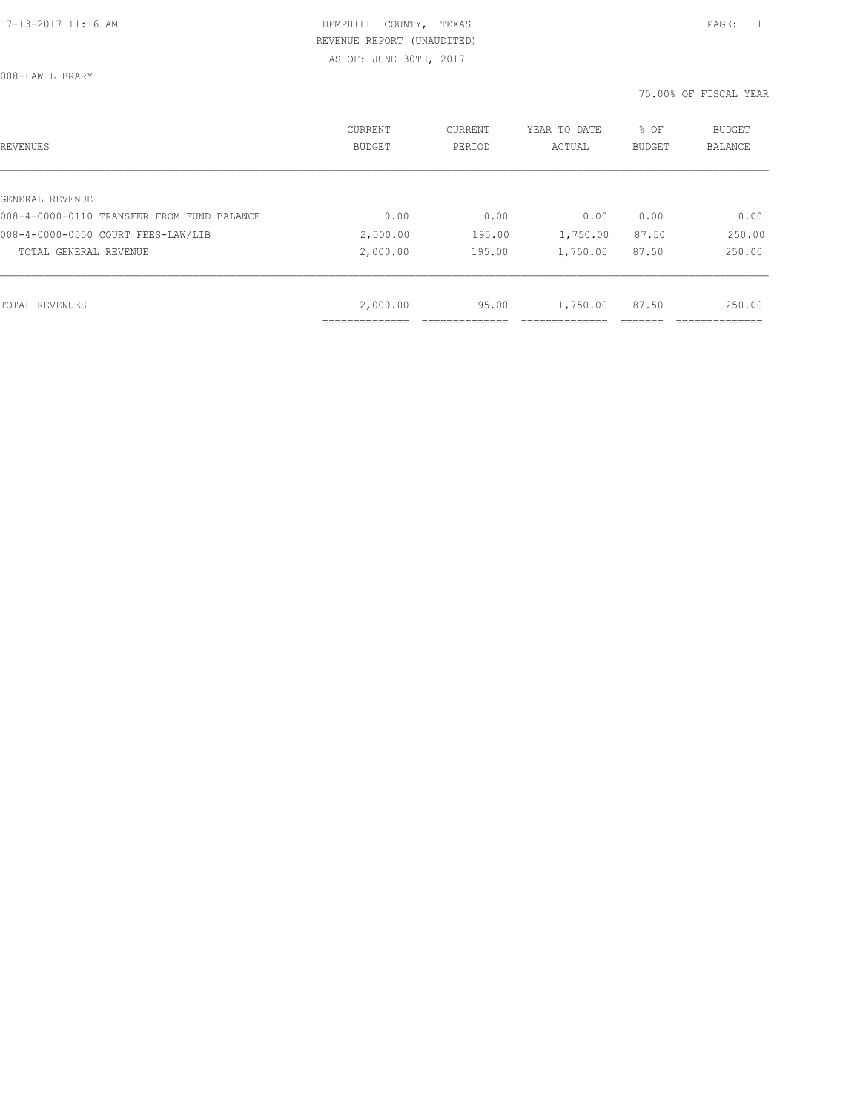AS OF: JUNE 30TH, 2017

| REVENUES                                   | CURRENT<br><b>BUDGET</b> | CURRENT<br>PERIOD | YEAR TO DATE<br>ACTUAL | % OF<br><b>BUDGET</b> | <b>BUDGET</b><br>BALANCE |
|--------------------------------------------|--------------------------|-------------------|------------------------|-----------------------|--------------------------|
|                                            |                          |                   |                        |                       |                          |
| GENERAL REVENUE                            |                          |                   |                        |                       |                          |
| 008-4-0000-0110 TRANSFER FROM FUND BALANCE | 0.00                     | 0.00              | 0.00                   | 0.00                  | 0.00                     |
| 008-4-0000-0550 COURT FEES-LAW/LIB         | 2,000.00                 | 195.00            | 1,750.00               | 87.50                 | 250.00                   |
| TOTAL GENERAL REVENUE                      | 2,000.00                 | 195.00            | 1,750.00               | 87.50                 | 250.00                   |
|                                            |                          |                   |                        |                       |                          |
| TOTAL REVENUES                             | 2,000.00                 | 195.00            | 1,750.00               | 87.50                 | 250.00                   |
|                                            |                          |                   |                        |                       |                          |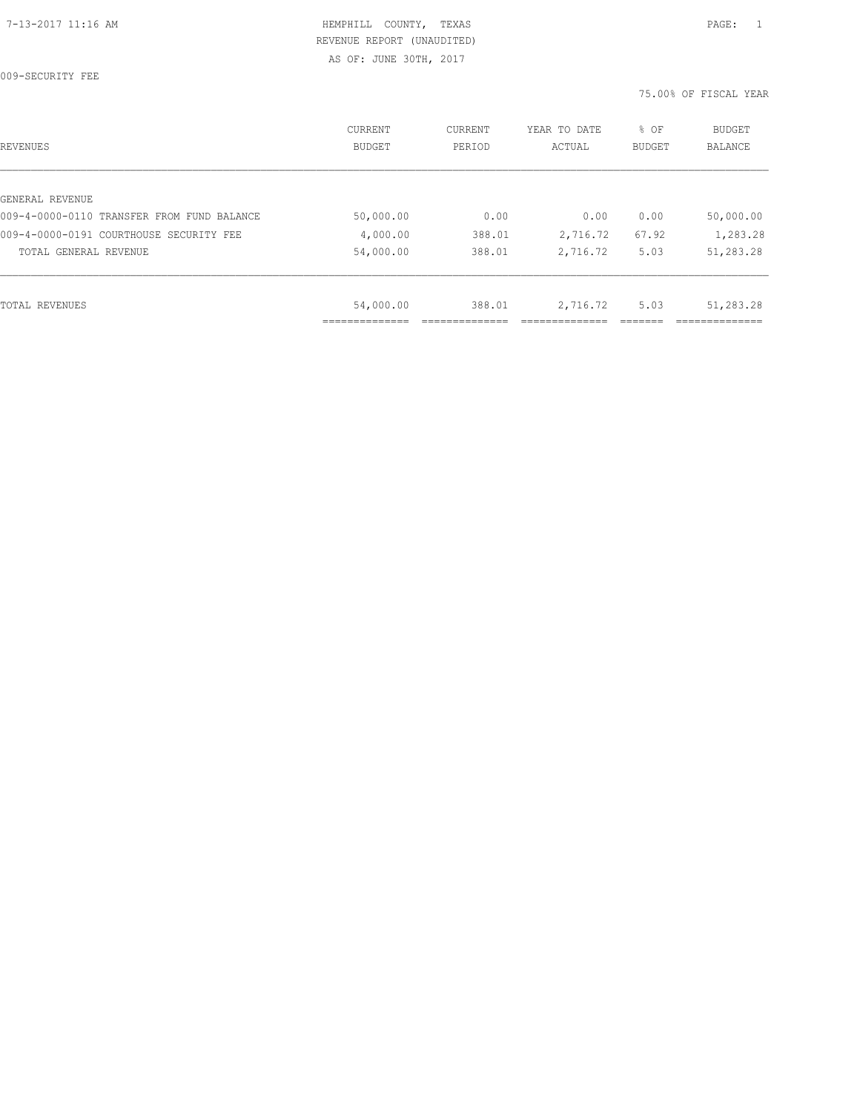009-SECURITY FEE

| REVENUES                                   | CURRENT<br><b>BUDGET</b> | CURRENT<br>PERIOD | YEAR TO DATE<br>ACTUAL | % OF<br>BUDGET | <b>BUDGET</b><br>BALANCE |
|--------------------------------------------|--------------------------|-------------------|------------------------|----------------|--------------------------|
|                                            |                          |                   |                        |                |                          |
| GENERAL REVENUE                            |                          |                   |                        |                |                          |
| 009-4-0000-0110 TRANSFER FROM FUND BALANCE | 50,000.00                | 0.00              | 0.00                   | 0.00           | 50,000.00                |
| 009-4-0000-0191 COURTHOUSE SECURITY FEE    | 4,000.00                 | 388.01            | 2,716.72               | 67.92          | 1,283.28                 |
| TOTAL GENERAL REVENUE                      | 54,000.00                | 388.01            | 2,716.72               | 5.03           | 51,283.28                |
|                                            |                          |                   |                        |                |                          |
| TOTAL REVENUES                             | 54,000.00                | 388.01            | 2,716.72               | 5.03           | 51,283.28                |
|                                            |                          |                   |                        |                |                          |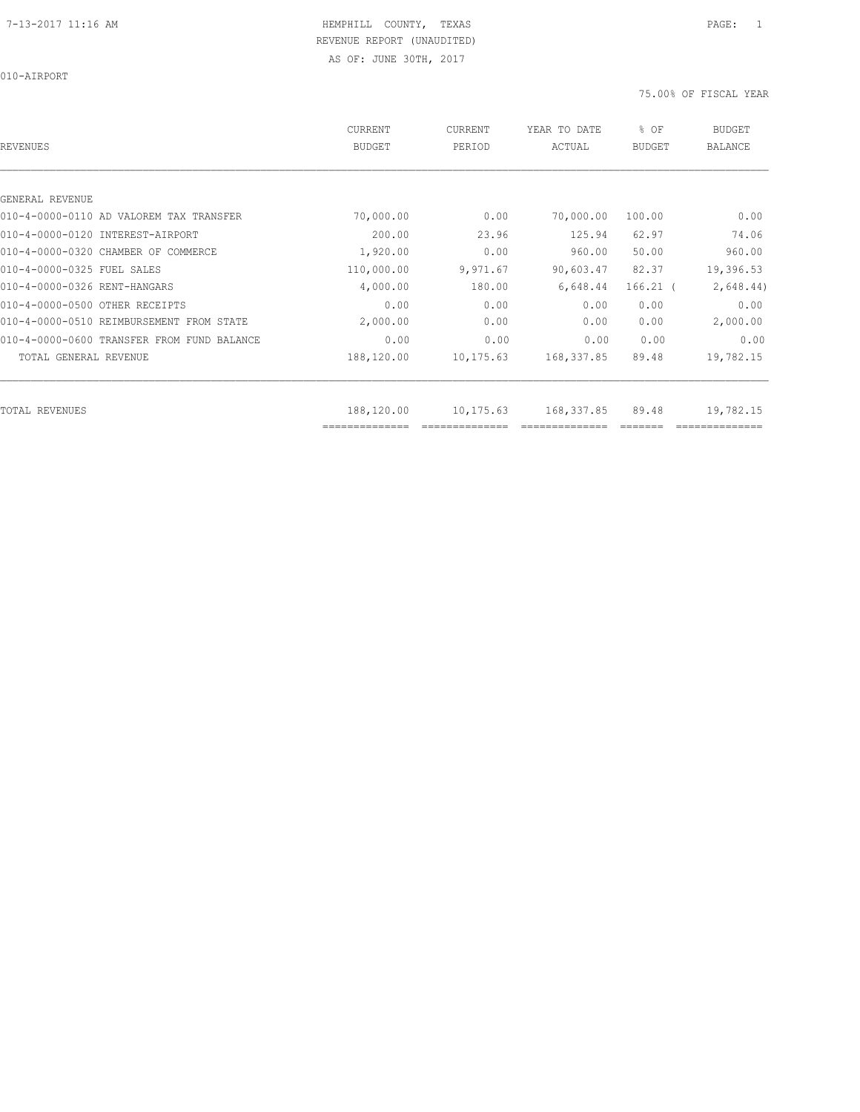010-AIRPORT

| REVENUES                                   | CURRENT<br><b>BUDGET</b> | <b>CURRENT</b><br>PERIOD | YEAR TO DATE<br>ACTUAL | % OF<br>BUDGET | <b>BUDGET</b><br><b>BALANCE</b> |
|--------------------------------------------|--------------------------|--------------------------|------------------------|----------------|---------------------------------|
|                                            |                          |                          |                        |                |                                 |
| GENERAL REVENUE                            |                          |                          |                        |                |                                 |
| 010-4-0000-0110 AD VALOREM TAX TRANSFER    | 70,000.00                | 0.00                     | 70,000.00              | 100.00         | 0.00                            |
| 010-4-0000-0120 INTEREST-AIRPORT           | 200.00                   | 23.96                    | 125.94                 | 62.97          | 74.06                           |
| 010-4-0000-0320 CHAMBER OF COMMERCE        | 1,920.00                 | 0.00                     | 960.00                 | 50.00          | 960.00                          |
| 010-4-0000-0325 FUEL SALES                 | 110,000.00               | 9,971.67                 | 90,603.47              | 82.37          | 19,396.53                       |
| 010-4-0000-0326 RENT-HANGARS               | 4,000.00                 | 180.00                   | 6,648.44               | $166.21$ (     | 2,648.44)                       |
| 010-4-0000-0500 OTHER RECEIPTS             | 0.00                     | 0.00                     | 0.00                   | 0.00           | 0.00                            |
| 010-4-0000-0510 REIMBURSEMENT FROM STATE   | 2,000.00                 | 0.00                     | 0.00                   | 0.00           | 2,000.00                        |
| 010-4-0000-0600 TRANSFER FROM FUND BALANCE | 0.00                     | 0.00                     | 0.00                   | 0.00           | 0.00                            |
| TOTAL GENERAL REVENUE                      | 188,120.00               | 10, 175.63               | 168,337.85             | 89.48          | 19,782.15                       |
| TOTAL REVENUES                             | 188,120.00               | 10,175.63                | 168,337.85             | 89.48          | 19,782.15                       |
|                                            | ==============           |                          |                        |                |                                 |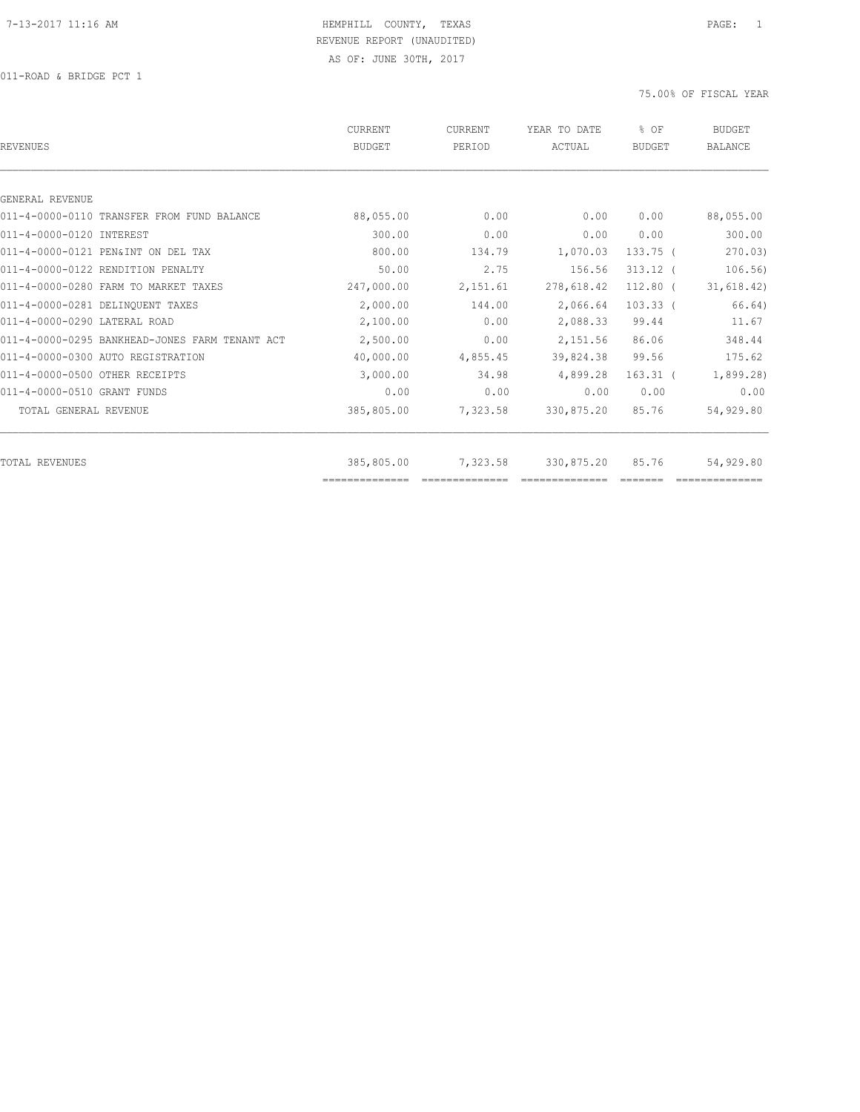| REVENUES                                       | CURRENT<br><b>BUDGET</b> | <b>CURRENT</b><br>PERIOD | YEAR TO DATE<br>ACTUAL | % OF<br>BUDGET | <b>BUDGET</b><br><b>BALANCE</b> |
|------------------------------------------------|--------------------------|--------------------------|------------------------|----------------|---------------------------------|
|                                                |                          |                          |                        |                |                                 |
| GENERAL REVENUE                                |                          |                          |                        |                |                                 |
| 011-4-0000-0110 TRANSFER FROM FUND BALANCE     | 88,055.00                | 0.00                     | 0.00                   | 0.00           | 88,055.00                       |
| 011-4-0000-0120 INTEREST                       | 300.00                   | 0.00                     | 0.00                   | 0.00           | 300.00                          |
| 011-4-0000-0121 PEN&INT ON DEL TAX             | 800.00                   | 134.79                   | 1,070.03               | $133.75$ (     | 270.03                          |
| 011-4-0000-0122 RENDITION PENALTY              | 50.00                    | 2.75                     | 156.56                 | $313.12$ (     | 106.56)                         |
| 011-4-0000-0280 FARM TO MARKET TAXES           | 247,000.00               | 2,151.61                 | 278,618.42             | $112.80$ (     | 31,618.42)                      |
| 011-4-0000-0281 DELINQUENT TAXES               | 2,000.00                 | 144.00                   | 2,066.64               | $103.33$ (     | 66.64)                          |
| 011-4-0000-0290 LATERAL ROAD                   | 2,100.00                 | 0.00                     | 2,088.33               | 99.44          | 11.67                           |
| 011-4-0000-0295 BANKHEAD-JONES FARM TENANT ACT | 2,500.00                 | 0.00                     | 2,151.56               | 86.06          | 348.44                          |
| 011-4-0000-0300 AUTO REGISTRATION              | 40,000.00                | 4,855.45                 | 39,824.38              | 99.56          | 175.62                          |
| 011-4-0000-0500 OTHER RECEIPTS                 | 3,000.00                 | 34.98                    | 4,899.28               | $163.31$ (     | 1,899.28)                       |
| 011-4-0000-0510 GRANT FUNDS                    | 0.00                     | 0.00                     | 0.00                   | 0.00           | 0.00                            |
| TOTAL GENERAL REVENUE                          | 385,805.00               | 7,323.58                 | 330,875.20             | 85.76          | 54,929.80                       |
|                                                |                          |                          |                        |                |                                 |
| TOTAL REVENUES                                 | 385,805.00               | 7,323.58                 | 330,875.20             | 85.76          | 54,929.80                       |
|                                                | ==============           |                          |                        |                |                                 |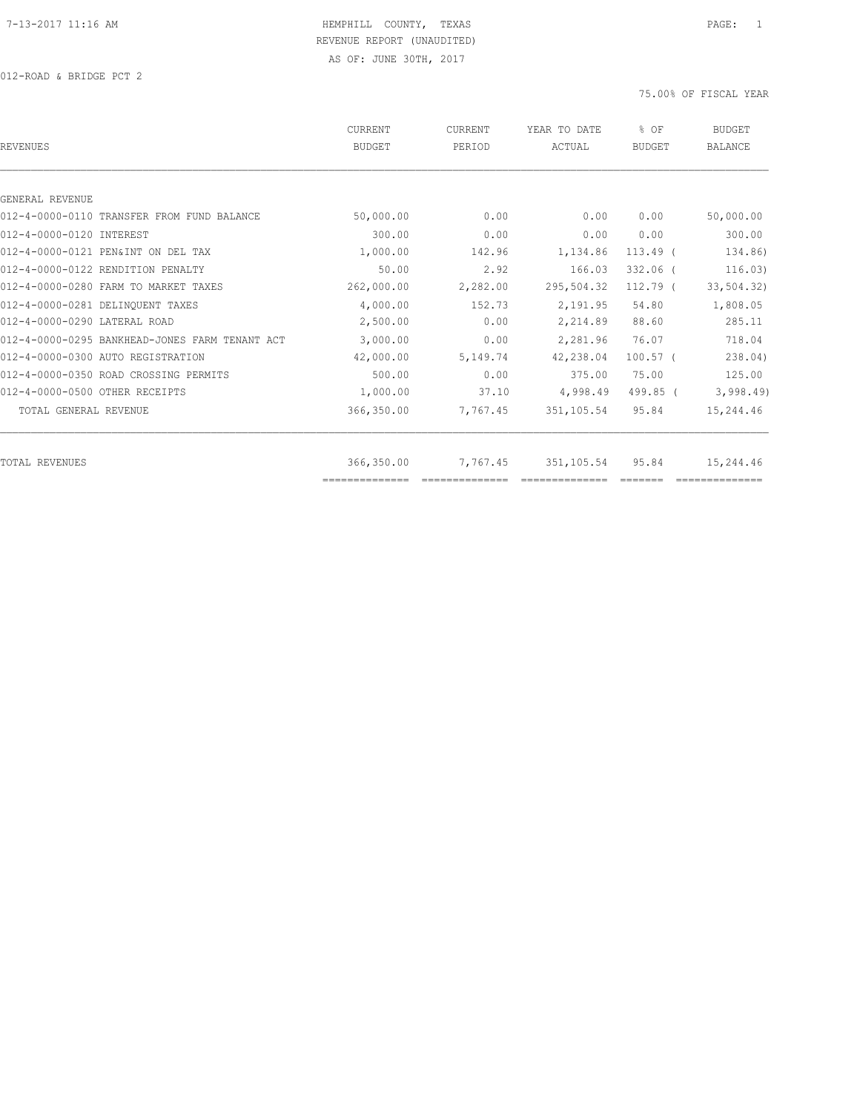| REVENUES                                       | CURRENT<br><b>BUDGET</b> | CURRENT<br>PERIOD | YEAR TO DATE<br>ACTUAL | % OF<br><b>BUDGET</b> | <b>BUDGET</b><br><b>BALANCE</b> |
|------------------------------------------------|--------------------------|-------------------|------------------------|-----------------------|---------------------------------|
|                                                |                          |                   |                        |                       |                                 |
| GENERAL REVENUE                                |                          |                   |                        |                       |                                 |
| 012-4-0000-0110 TRANSFER FROM FUND BALANCE     | 50,000.00                | 0.00              | 0.00                   | 0.00                  | 50,000.00                       |
| 012-4-0000-0120 INTEREST                       | 300.00                   | 0.00              | 0.00                   | 0.00                  | 300.00                          |
| 012-4-0000-0121 PEN&INT ON DEL TAX             | 1,000.00                 | 142.96            | 1,134.86               | $113.49$ (            | 134.86)                         |
| 012-4-0000-0122 RENDITION PENALTY              | 50.00                    | 2.92              | 166.03                 | $332.06$ (            | 116.03)                         |
| 012-4-0000-0280 FARM TO MARKET TAXES           | 262,000.00               | 2,282.00          | 295,504.32             | 112.79 (              | 33,504.32)                      |
| 012-4-0000-0281 DELINQUENT TAXES               | 4,000.00                 | 152.73            | 2,191.95               | 54.80                 | 1,808.05                        |
| 012-4-0000-0290 LATERAL ROAD                   | 2,500.00                 | 0.00              | 2,214.89               | 88.60                 | 285.11                          |
| 012-4-0000-0295 BANKHEAD-JONES FARM TENANT ACT | 3,000.00                 | 0.00              | 2,281.96               | 76.07                 | 718.04                          |
| 012-4-0000-0300 AUTO REGISTRATION              | 42,000.00                | 5,149.74          | 42,238.04              | $100.57$ (            | 238.04)                         |
| 012-4-0000-0350 ROAD CROSSING PERMITS          | 500.00                   | 0.00              | 375.00                 | 75.00                 | 125.00                          |
| 012-4-0000-0500 OTHER RECEIPTS                 | 1,000.00                 | 37.10             | 4,998.49               | 499.85 (              | 3,998.49                        |
| TOTAL GENERAL REVENUE                          | 366,350.00               | 7,767.45          | 351,105.54             | 95.84                 | 15,244.46                       |
| TOTAL REVENUES                                 | 366,350.00               | 7,767.45          | 351,105.54             | 95.84                 | 15,244.46                       |
|                                                | ==============           |                   |                        |                       |                                 |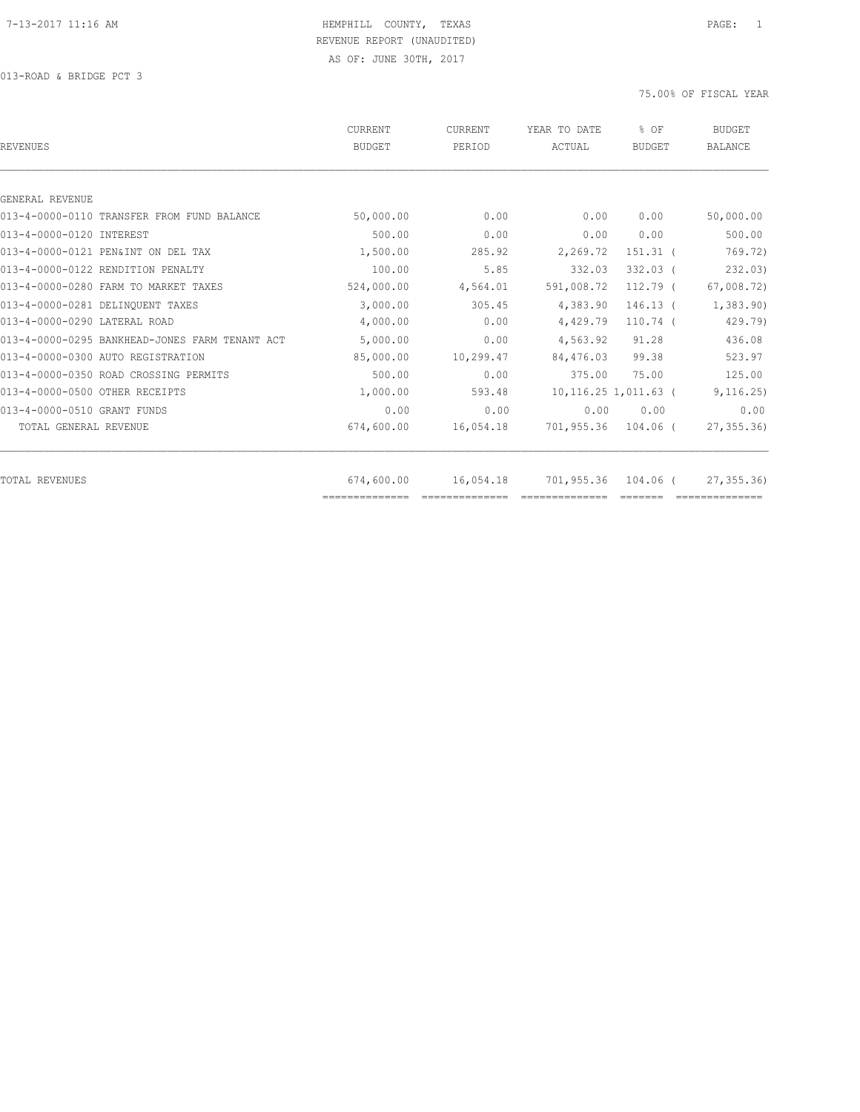| REVENUES                                       | CURRENT<br><b>BUDGET</b>     | <b>CURRENT</b><br>PERIOD       | YEAR TO DATE<br>ACTUAL | % OF<br>BUDGET       | <b>BUDGET</b><br><b>BALANCE</b> |
|------------------------------------------------|------------------------------|--------------------------------|------------------------|----------------------|---------------------------------|
|                                                |                              |                                |                        |                      |                                 |
| GENERAL REVENUE                                |                              |                                |                        |                      |                                 |
| 013-4-0000-0110 TRANSFER FROM FUND BALANCE     | 50,000.00                    | 0.00                           | 0.00                   | 0.00                 | 50,000.00                       |
| 013-4-0000-0120 INTEREST                       | 500.00                       | 0.00                           | 0.00                   | 0.00                 | 500.00                          |
| 013-4-0000-0121 PEN&INT ON DEL TAX             | 1,500.00                     | 285.92                         | 2,269.72               | $151.31$ (           | 769.72)                         |
| 013-4-0000-0122 RENDITION PENALTY              | 100.00                       | 5.85                           | 332.03                 | $332.03$ (           | 232.03                          |
| 013-4-0000-0280 FARM TO MARKET TAXES           | 524,000.00                   | 4,564.01                       | 591,008.72             | 112.79 (             | 67,008.72)                      |
| 013-4-0000-0281 DELINOUENT TAXES               | 3,000.00                     | 305.45                         | 4,383.90               | $146.13$ (           | 1,383.90)                       |
| 013-4-0000-0290 LATERAL ROAD                   | 4,000.00                     | 0.00                           | 4,429.79               | $110.74$ (           | 429.79)                         |
| 013-4-0000-0295 BANKHEAD-JONES FARM TENANT ACT | 5,000.00                     | 0.00                           | 4,563.92               | 91.28                | 436.08                          |
| 013-4-0000-0300 AUTO REGISTRATION              | 85,000.00                    | 10,299.47                      | 84,476.03              | 99.38                | 523.97                          |
| 013-4-0000-0350 ROAD CROSSING PERMITS          | 500.00                       | 0.00                           | 375.00                 | 75.00                | 125.00                          |
| 013-4-0000-0500 OTHER RECEIPTS                 | 1,000.00                     | 593.48                         |                        | 10,116.25 1,011.63 ( | 9,116.25)                       |
| 013-4-0000-0510 GRANT FUNDS                    | 0.00                         | 0.00                           | 0.00                   | 0.00                 | 0.00                            |
| TOTAL GENERAL REVENUE                          | 674,600.00                   | 16,054.18                      |                        | 701,955.36 104.06 (  | 27, 355.36                      |
|                                                |                              |                                |                        |                      |                                 |
| TOTAL REVENUES                                 | 674,600.00<br>============== | 16,054.18<br>$-22222222222222$ | ==============         | 701,955.36 104.06 (  | 27, 355, 36)                    |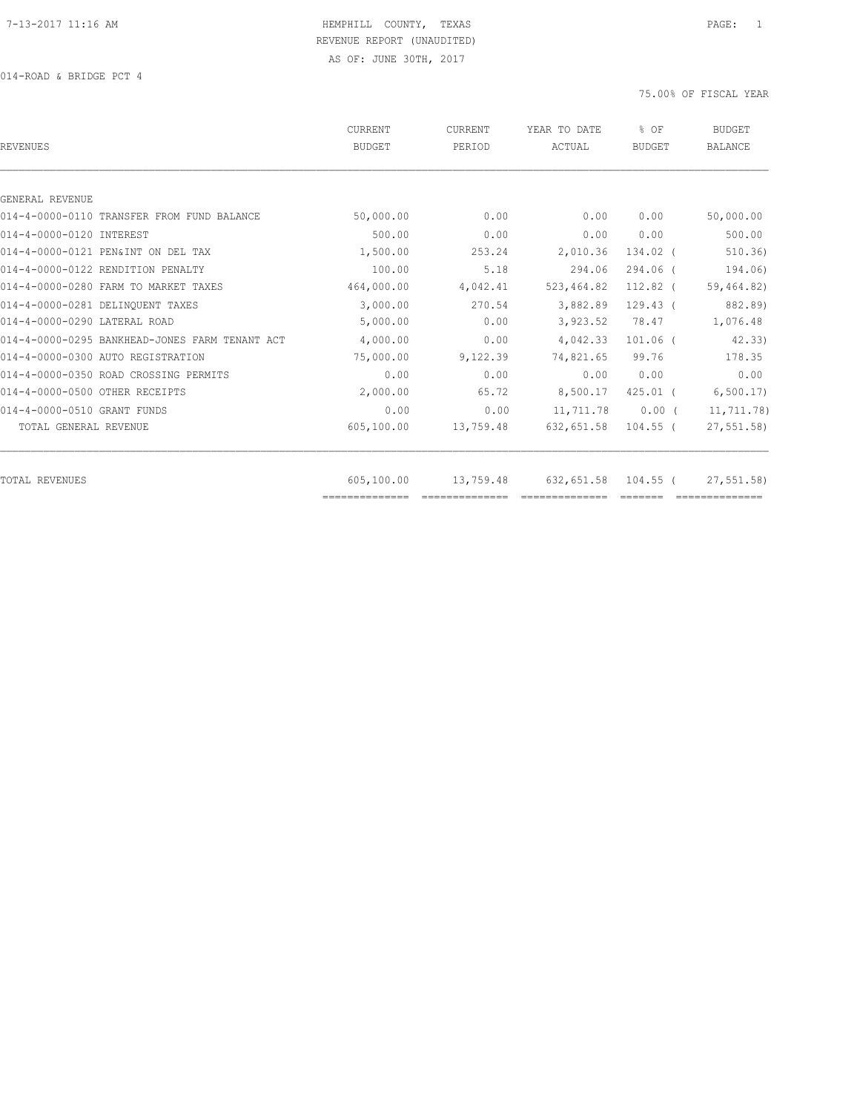| REVENUES                                       | CURRENT<br><b>BUDGET</b> | CURRENT<br>PERIOD | YEAR TO DATE<br>ACTUAL | % OF<br><b>BUDGET</b> | <b>BUDGET</b><br><b>BALANCE</b> |
|------------------------------------------------|--------------------------|-------------------|------------------------|-----------------------|---------------------------------|
|                                                |                          |                   |                        |                       |                                 |
| GENERAL REVENUE                                |                          |                   |                        |                       |                                 |
| 014-4-0000-0110 TRANSFER FROM FUND BALANCE     | 50,000.00                | 0.00              | 0.00                   | 0.00                  | 50,000.00                       |
| 014-4-0000-0120 INTEREST                       | 500.00                   | 0.00              | 0.00                   | 0.00                  | 500.00                          |
| 014-4-0000-0121 PEN&INT ON DEL TAX             | 1,500.00                 | 253.24            | 2,010.36               | 134.02 (              | 510.36)                         |
| 014-4-0000-0122 RENDITION PENALTY              | 100.00                   | 5.18              | 294.06                 | 294.06 (              | 194.06)                         |
| 014-4-0000-0280 FARM TO MARKET TAXES           | 464,000.00               | 4,042.41          | 523, 464.82            | $112.82$ (            | 59,464.82)                      |
| 014-4-0000-0281 DELINOUENT TAXES               | 3,000.00                 | 270.54            | 3,882.89               | $129.43$ (            | 882.89)                         |
| 014-4-0000-0290 LATERAL ROAD                   | 5,000.00                 | 0.00              | 3,923.52               | 78.47                 | 1,076.48                        |
| 014-4-0000-0295 BANKHEAD-JONES FARM TENANT ACT | 4,000.00                 | 0.00              | 4,042.33               | $101.06$ (            | 42.33                           |
| 014-4-0000-0300 AUTO REGISTRATION              | 75,000.00                | 9,122.39          | 74,821.65              | 99.76                 | 178.35                          |
| 014-4-0000-0350 ROAD CROSSING PERMITS          | 0.00                     | 0.00              | 0.00                   | 0.00                  | 0.00                            |
| 014-4-0000-0500 OTHER RECEIPTS                 | 2,000.00                 | 65.72             | 8,500.17               | $425.01$ (            | 6, 500.17                       |
| 014-4-0000-0510 GRANT FUNDS                    | 0.00                     | 0.00              | 11,711.78              | $0.00$ (              | 11, 711.78)                     |
| TOTAL GENERAL REVENUE                          | 605,100.00               | 13,759.48         | 632,651.58             | 104.55 (              | 27, 551, 58)                    |
| TOTAL REVENUES                                 | 605,100.00               | 13,759.48         | 632,651.58             | 104.55 (              | 27,551.58)                      |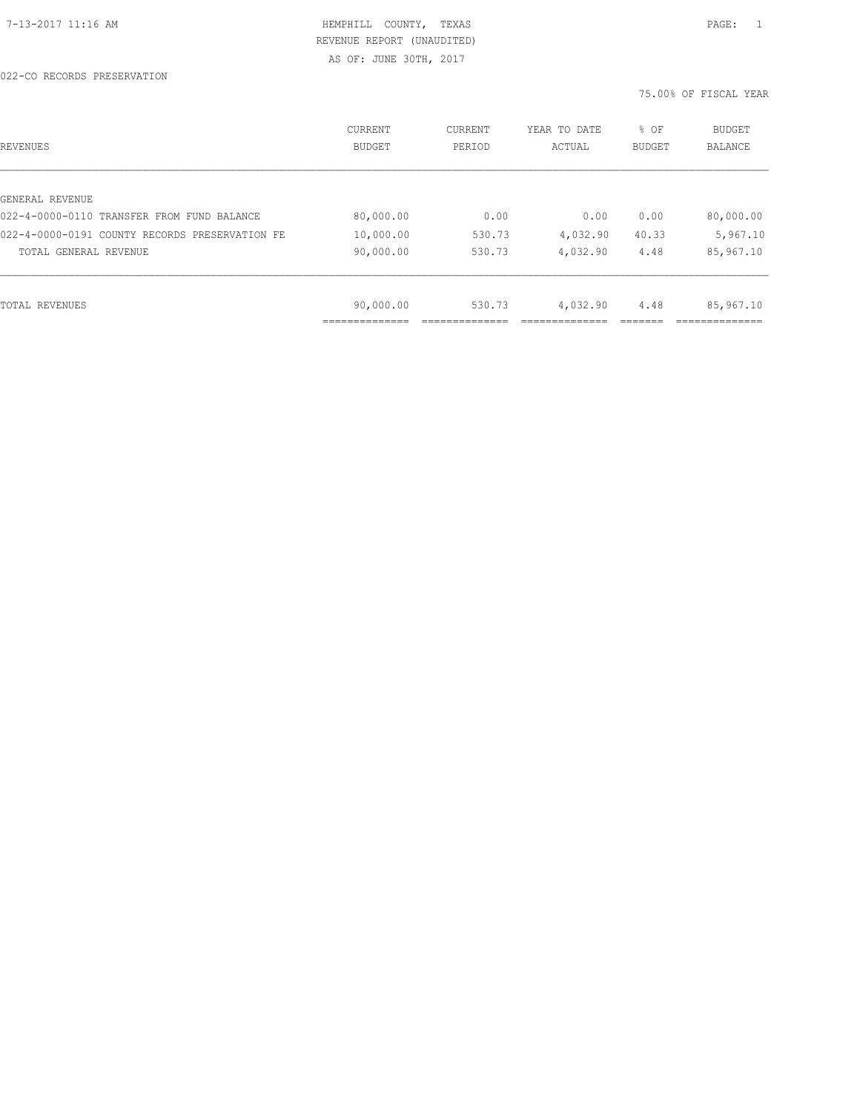022-CO RECORDS PRESERVATION

| REVENUES                                       | CURRENT<br><b>BUDGET</b> | CURRENT<br>PERIOD | YEAR TO DATE<br>ACTUAL | % OF<br>BUDGET | BUDGET<br>BALANCE |
|------------------------------------------------|--------------------------|-------------------|------------------------|----------------|-------------------|
|                                                |                          |                   |                        |                |                   |
| GENERAL REVENUE                                |                          |                   |                        |                |                   |
| 022-4-0000-0110 TRANSFER FROM FUND BALANCE     | 80,000.00                | 0.00              | 0.00                   | 0.00           | 80,000.00         |
| 022-4-0000-0191 COUNTY RECORDS PRESERVATION FE | 10,000.00                | 530.73            | 4,032.90               | 40.33          | 5,967.10          |
| TOTAL GENERAL REVENUE                          | 90,000.00                | 530.73            | 4,032.90               | 4.48           | 85,967.10         |
|                                                |                          |                   |                        |                |                   |
| TOTAL REVENUES                                 | 90,000.00                | 530.73            | 4,032.90               | 4.48           | 85,967.10         |
|                                                | -----------              |                   |                        |                |                   |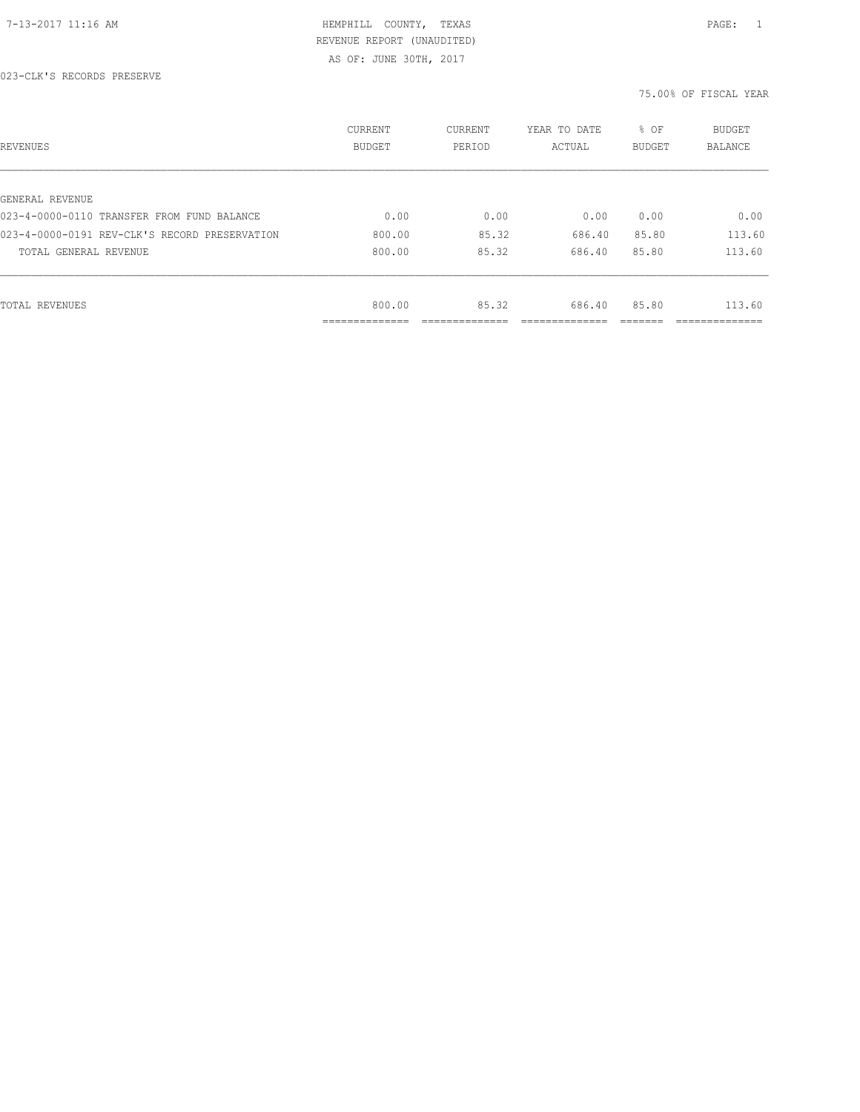AS OF: JUNE 30TH, 2017

| REVENUES                                      | CURRENT<br><b>BUDGET</b> | CURRENT<br>PERIOD | YEAR TO DATE<br>ACTUAL | % OF<br>BUDGET | BUDGET<br><b>BALANCE</b> |
|-----------------------------------------------|--------------------------|-------------------|------------------------|----------------|--------------------------|
|                                               |                          |                   |                        |                |                          |
| GENERAL REVENUE                               |                          |                   |                        |                |                          |
| 023-4-0000-0110 TRANSFER FROM FUND BALANCE    | 0.00                     | 0.00              | 0.00                   | 0.00           | 0.00                     |
| 023-4-0000-0191 REV-CLK'S RECORD PRESERVATION | 800.00                   | 85.32             | 686.40                 | 85.80          | 113.60                   |
| TOTAL GENERAL REVENUE                         | 800.00                   | 85.32             | 686.40                 | 85.80          | 113.60                   |
|                                               |                          |                   |                        |                |                          |
| TOTAL REVENUES                                | 800.00                   | 85.32             | 686.40                 | 85.80          | 113.60                   |
|                                               | -----------              |                   |                        |                | __________               |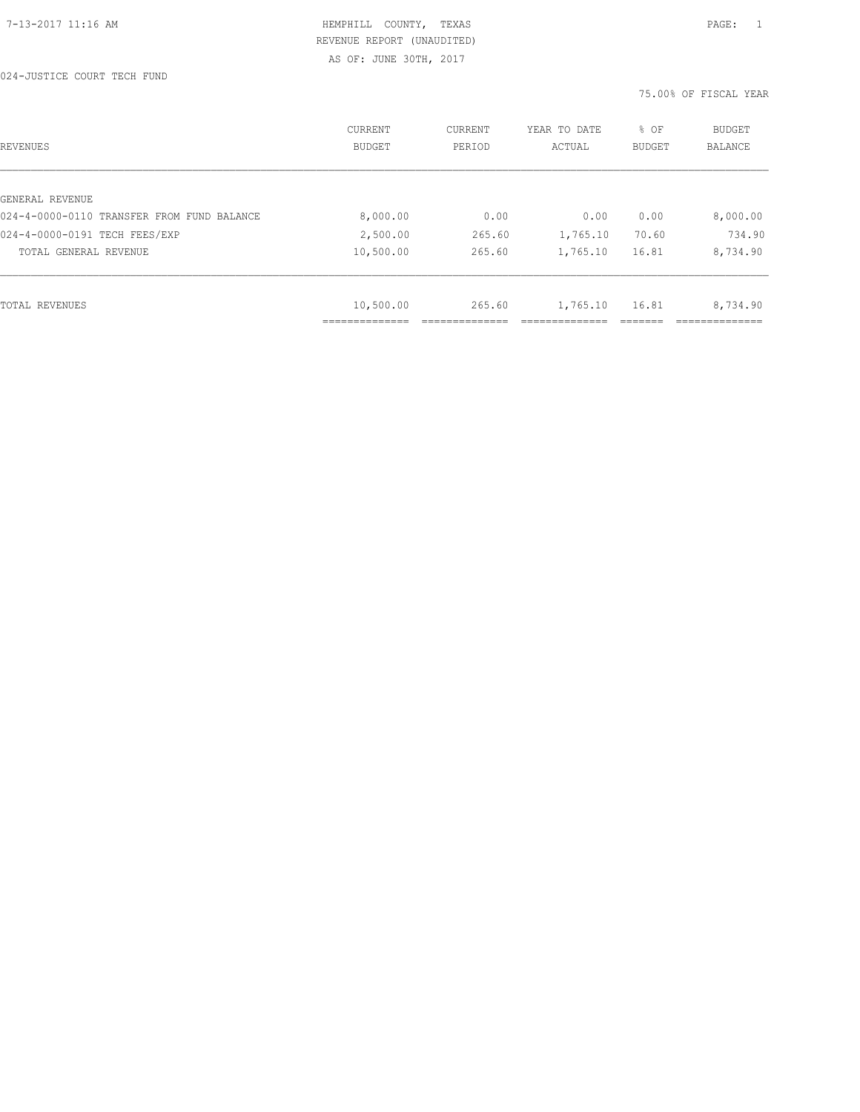024-JUSTICE COURT TECH FUND

| REVENUES                                   | <b>CURRENT</b><br><b>BUDGET</b> | CURRENT<br>PERIOD | YEAR TO DATE<br>ACTUAL | % OF<br><b>BUDGET</b> | <b>BUDGET</b><br>BALANCE |
|--------------------------------------------|---------------------------------|-------------------|------------------------|-----------------------|--------------------------|
|                                            |                                 |                   |                        |                       |                          |
| GENERAL REVENUE                            |                                 |                   |                        |                       |                          |
| 024-4-0000-0110 TRANSFER FROM FUND BALANCE | 8,000.00                        | 0.00              | 0.00                   | 0.00                  | 8,000.00                 |
| 024-4-0000-0191 TECH FEES/EXP              | 2,500.00                        | 265.60            | 1,765.10               | 70.60                 | 734.90                   |
| TOTAL GENERAL REVENUE                      | 10,500.00                       | 265.60            | 1,765.10               | 16.81                 | 8,734.90                 |
|                                            |                                 |                   |                        |                       |                          |
| TOTAL REVENUES                             | 10,500.00                       | 265.60            | 1,765.10               | 16.81                 | 8,734.90                 |
|                                            |                                 |                   |                        |                       |                          |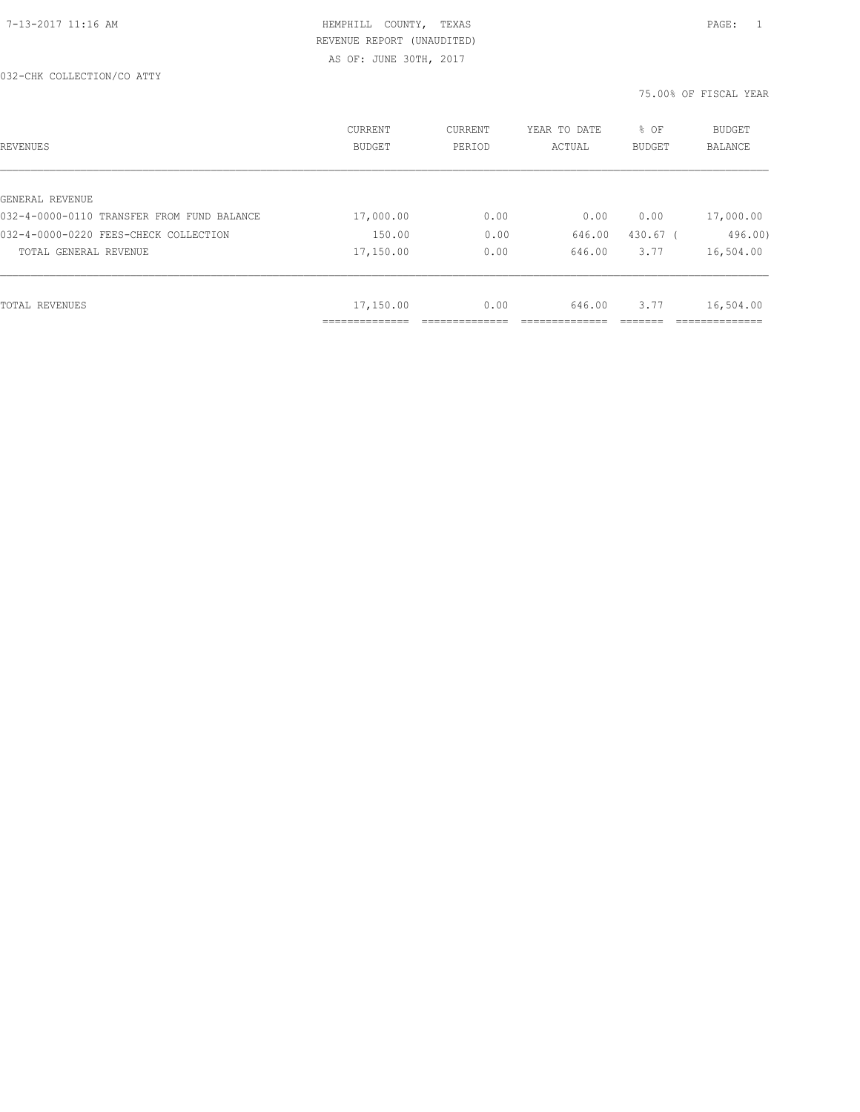| REVENUES                                   | CURRENT<br><b>BUDGET</b>  | CURRENT<br>PERIOD | YEAR TO DATE<br>ACTUAL | % OF<br><b>BUDGET</b> | BUDGET<br><b>BALANCE</b> |
|--------------------------------------------|---------------------------|-------------------|------------------------|-----------------------|--------------------------|
|                                            |                           |                   |                        |                       |                          |
| GENERAL REVENUE                            |                           |                   |                        |                       |                          |
| 032-4-0000-0110 TRANSFER FROM FUND BALANCE | 17,000.00                 | 0.00              | 0.00                   | 0.00                  | 17,000.00                |
| 032-4-0000-0220 FEES-CHECK COLLECTION      | 150.00                    | 0.00              | 646.00                 | 430.67 (              | 496.00)                  |
| TOTAL GENERAL REVENUE                      | 17,150.00                 | 0.00              | 646.00                 | 3.77                  | 16,504.00                |
|                                            |                           |                   |                        |                       |                          |
| TOTAL REVENUES                             | 17,150.00                 | 0.00              | 646.00                 | 3.77                  | 16,504.00                |
|                                            | ____________<br>_________ |                   |                        |                       |                          |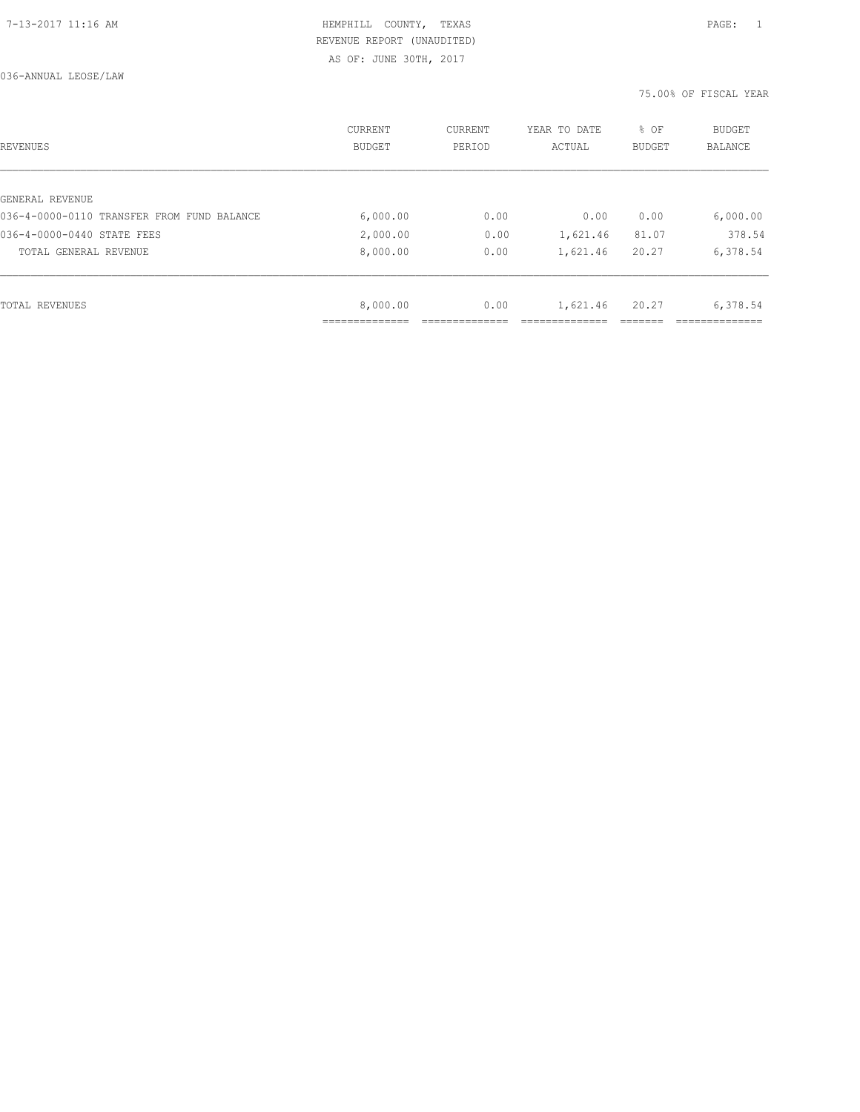AS OF: JUNE 30TH, 2017

| REVENUES                                   | CURRENT<br><b>BUDGET</b> | CURRENT<br>PERIOD | YEAR TO DATE<br>ACTUAL | % OF<br><b>BUDGET</b> | <b>BUDGET</b><br>BALANCE |
|--------------------------------------------|--------------------------|-------------------|------------------------|-----------------------|--------------------------|
| GENERAL REVENUE                            |                          |                   |                        |                       |                          |
| 036-4-0000-0110 TRANSFER FROM FUND BALANCE | 6,000.00                 | 0.00              | 0.00                   | 0.00                  | 6,000.00                 |
| 036-4-0000-0440 STATE FEES                 | 2,000.00                 | 0.00              | 1,621.46               | 81.07                 | 378.54                   |
| TOTAL GENERAL REVENUE                      | 8,000.00                 | 0.00              | 1,621.46               | 20.27                 | 6,378.54                 |
|                                            |                          |                   |                        |                       |                          |
| TOTAL REVENUES                             | 8,000.00                 | 0.00              | 1,621.46               | 20.27                 | 6,378.54                 |
|                                            | ______________           |                   |                        |                       |                          |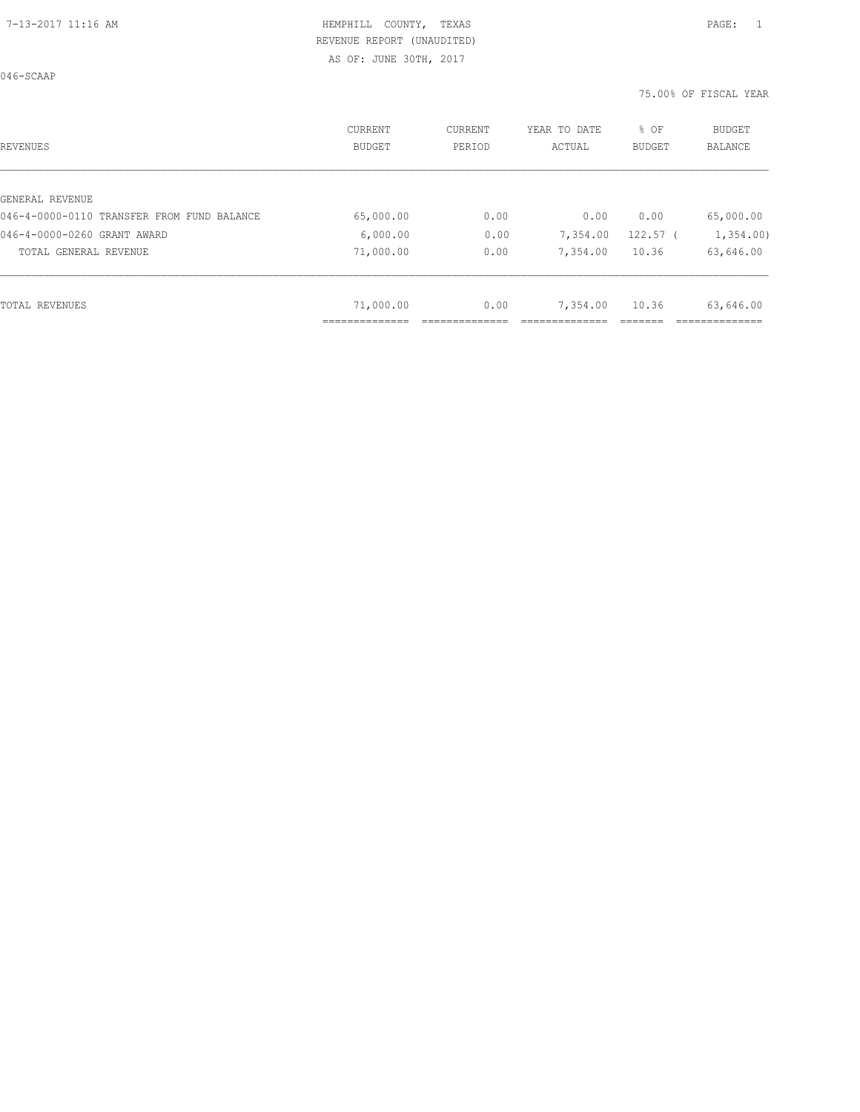| REVENUES                                   | CURRENT<br><b>BUDGET</b> | CURRENT<br>PERIOD | YEAR TO DATE<br>ACTUAL | % OF<br><b>BUDGET</b> | <b>BUDGET</b><br>BALANCE |
|--------------------------------------------|--------------------------|-------------------|------------------------|-----------------------|--------------------------|
|                                            |                          |                   |                        |                       |                          |
| GENERAL REVENUE                            |                          |                   |                        |                       |                          |
| 046-4-0000-0110 TRANSFER FROM FUND BALANCE | 65,000.00                | 0.00              | 0.00                   | 0.00                  | 65,000.00                |
| 046-4-0000-0260 GRANT AWARD                | 6,000.00                 | 0.00              | 7,354.00               | $122.57$ (            | 1,354.00                 |
| TOTAL GENERAL REVENUE                      | 71,000.00                | 0.00              | 7,354.00               | 10.36                 | 63,646.00                |
|                                            |                          |                   |                        |                       |                          |
| TOTAL REVENUES                             | 71,000.00                | 0.00              | 7,354.00               | 10.36                 | 63,646.00                |
|                                            |                          |                   |                        |                       |                          |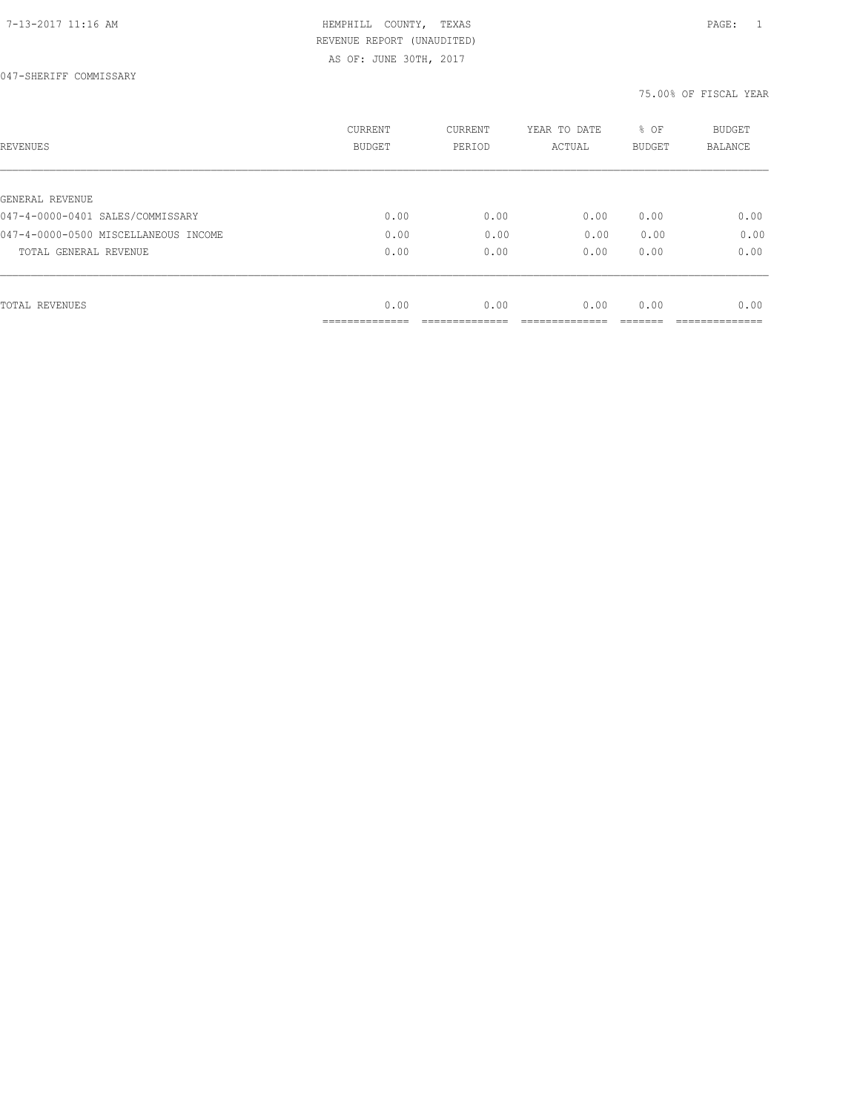AS OF: JUNE 30TH, 2017

| REVENUES                             | CURRENT<br><b>BUDGET</b> | CURRENT<br>PERIOD | YEAR TO DATE<br>ACTUAL | % OF<br>BUDGET | BUDGET<br>BALANCE |
|--------------------------------------|--------------------------|-------------------|------------------------|----------------|-------------------|
|                                      |                          |                   |                        |                |                   |
| GENERAL REVENUE                      |                          |                   |                        |                |                   |
| 047-4-0000-0401 SALES/COMMISSARY     | 0.00                     | 0.00              | 0.00                   | 0.00           | 0.00              |
| 047-4-0000-0500 MISCELLANEOUS INCOME | 0.00                     | 0.00              | 0.00                   | 0.00           | 0.00              |
| TOTAL GENERAL REVENUE                | 0.00                     | 0.00              | 0.00                   | 0.00           | 0.00              |
|                                      |                          |                   |                        |                |                   |
| TOTAL REVENUES                       | 0.00                     | 0.00              | 0.00                   | 0.00           | 0.00              |
|                                      | ------------             |                   |                        |                |                   |